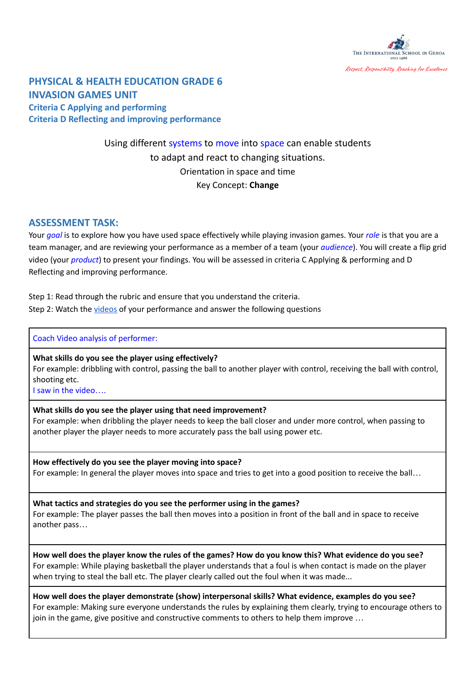

# **PHYSICAL & HEALTH EDUCATION GRADE 6 INVASION GAMES UNIT**

**Criteria C Applying and performing Criteria D Reflecting and improving performance**

# Using different systems to move into space can enable students to adapt and react to changing situations. Orientation in space and time Key Concept: **Change**

## **ASSESSMENT TASK:**

Your *goal* is to explore how you have used space effectively while playing invasion games. Your *role* is that you are a team manager, and are reviewing your performance as a member of a team (your *audience*). You will create a flip grid video (your *product*) to present your findings. You will be assessed in criteria C Applying & performing and D Reflecting and improving performance.

Step 1: Read through the rubric and ensure that you understand the criteria. Step 2: Watch the [videos](https://drive.google.com/drive/folders/17vMNbT8LLbG5G6cWnDxVyjxow6-XacuO?usp=sharing) of your performance and answer the following questions

### Coach Video analysis of performer:

**What skills do you see the player using effectively?** For example: dribbling with control, passing the ball to another player with control, receiving the ball with control, shooting etc.

I saw in the video….

### **What skills do you see the player using that need improvement?**

For example: when dribbling the player needs to keep the ball closer and under more control, when passing to another player the player needs to more accurately pass the ball using power etc.

**How effectively do you see the player moving into space?** For example: In general the player moves into space and tries to get into a good position to receive the ball…

**What tactics and strategies do you see the performer using in the games?** For example: The player passes the ball then moves into a position in front of the ball and in space to receive another pass…

How well does the player know the rules of the games? How do you know this? What evidence do you see? For example: While playing basketball the player understands that a foul is when contact is made on the player when trying to steal the ball etc. The player clearly called out the foul when it was made...

**How well does the player demonstrate (show) interpersonal skills? What evidence, examples do you see?** For example: Making sure everyone understands the rules by explaining them clearly, trying to encourage others to join in the game, give positive and constructive comments to others to help them improve …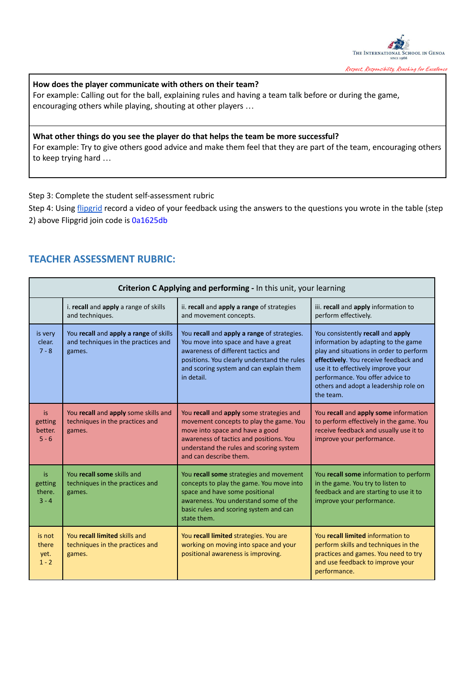

## **How does the player communicate with others on their team?**

For example: Calling out for the ball, explaining rules and having a team talk before or during the game, encouraging others while playing, shouting at other players …

## **What other things do you see the player do that helps the team be more successful?**

For example: Try to give others good advice and make them feel that they are part of the team, encouraging others to keep trying hard …

Step 3: Complete the student self-assessment rubric

Step 4: Using [flipgrid](https://flipgrid.com/) record a video of your feedback using the answers to the questions you wrote in the table (step 2) above Flipgrid join code is 0a1625db

## **TEACHER ASSESSMENT RUBRIC:**

| Criterion C Applying and performing - In this unit, your learning |                                                                                         |                                                                                                                                                                                                                                        |                                                                                                                                                                                                                                                                                              |  |  |  |
|-------------------------------------------------------------------|-----------------------------------------------------------------------------------------|----------------------------------------------------------------------------------------------------------------------------------------------------------------------------------------------------------------------------------------|----------------------------------------------------------------------------------------------------------------------------------------------------------------------------------------------------------------------------------------------------------------------------------------------|--|--|--|
|                                                                   | i. recall and apply a range of skills<br>and techniques.                                | ii. recall and apply a range of strategies<br>and movement concepts.                                                                                                                                                                   | iii. recall and apply information to<br>perform effectively.                                                                                                                                                                                                                                 |  |  |  |
| is very<br>clear.<br>$7 - 8$                                      | You recall and apply a range of skills<br>and techniques in the practices and<br>games. | You recall and apply a range of strategies.<br>You move into space and have a great<br>awareness of different tactics and<br>positions. You clearly understand the rules<br>and scoring system and can explain them<br>in detail.      | You consistently recall and apply<br>information by adapting to the game<br>play and situations in order to perform<br>effectively. You receive feedback and<br>use it to effectively improve your<br>performance. You offer advice to<br>others and adopt a leadership role on<br>the team. |  |  |  |
| is<br>getting<br>better.<br>$5 - 6$                               | You recall and apply some skills and<br>techniques in the practices and<br>games.       | You recall and apply some strategies and<br>movement concepts to play the game. You<br>move into space and have a good<br>awareness of tactics and positions. You<br>understand the rules and scoring system<br>and can describe them. | You recall and apply some information<br>to perform effectively in the game. You<br>receive feedback and usually use it to<br>improve your performance.                                                                                                                                      |  |  |  |
| is<br>getting<br>there.<br>$3 - 4$                                | You recall some skills and<br>techniques in the practices and<br>games.                 | You recall some strategies and movement<br>concepts to play the game. You move into<br>space and have some positional<br>awareness. You understand some of the<br>basic rules and scoring system and can<br>state them.                | You recall some information to perform<br>in the game. You try to listen to<br>feedback and are starting to use it to<br>improve your performance.                                                                                                                                           |  |  |  |
| is not<br>there<br>yet.<br>$1 - 2$                                | You recall limited skills and<br>techniques in the practices and<br>games.              | You recall limited strategies. You are<br>working on moving into space and your<br>positional awareness is improving.                                                                                                                  | You recall limited information to<br>perform skills and techniques in the<br>practices and games. You need to try<br>and use feedback to improve your<br>performance.                                                                                                                        |  |  |  |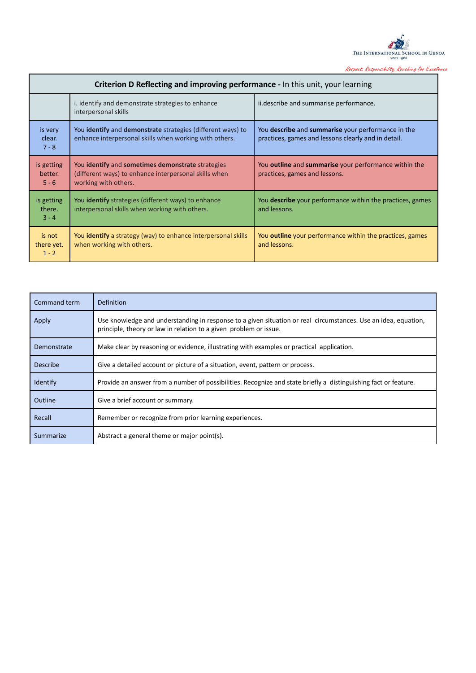

| <b>Criterion D Reflecting and improving performance - In this unit, your learning</b> |                                                                                                                                    |                                                                                                           |  |  |  |  |
|---------------------------------------------------------------------------------------|------------------------------------------------------------------------------------------------------------------------------------|-----------------------------------------------------------------------------------------------------------|--|--|--|--|
|                                                                                       | i. identify and demonstrate strategies to enhance<br>interpersonal skills                                                          | ii.describe and summarise performance.                                                                    |  |  |  |  |
| is very<br>clear.<br>$7 - 8$                                                          | You identify and demonstrate strategies (different ways) to<br>enhance interpersonal skills when working with others.              | You describe and summarise your performance in the<br>practices, games and lessons clearly and in detail. |  |  |  |  |
| is getting<br>better.<br>$5 - 6$                                                      | You identify and sometimes demonstrate strategies<br>(different ways) to enhance interpersonal skills when<br>working with others. | You <b>outline</b> and <b>summarise</b> your performance within the<br>practices, games and lessons.      |  |  |  |  |
| is getting<br>there.<br>$3 - 4$                                                       | You identify strategies (different ways) to enhance<br>interpersonal skills when working with others.                              | You <b>describe</b> your performance within the practices, games<br>and lessons.                          |  |  |  |  |
| is not<br>there yet.<br>$1 - 2$                                                       | You identify a strategy (way) to enhance interpersonal skills<br>when working with others.                                         | You <b>outline</b> your performance within the practices, games<br>and lessons.                           |  |  |  |  |

| Command term | <b>Definition</b>                                                                                                                                                                   |
|--------------|-------------------------------------------------------------------------------------------------------------------------------------------------------------------------------------|
| Apply        | Use knowledge and understanding in response to a given situation or real circumstances. Use an idea, equation,<br>principle, theory or law in relation to a given problem or issue. |
| Demonstrate  | Make clear by reasoning or evidence, illustrating with examples or practical application.                                                                                           |
| Describe     | Give a detailed account or picture of a situation, event, pattern or process.                                                                                                       |
| Identify     | Provide an answer from a number of possibilities. Recognize and state briefly a distinguishing fact or feature.                                                                     |
| Outline      | Give a brief account or summary.                                                                                                                                                    |
| Recall       | Remember or recognize from prior learning experiences.                                                                                                                              |
| Summarize    | Abstract a general theme or major point(s).                                                                                                                                         |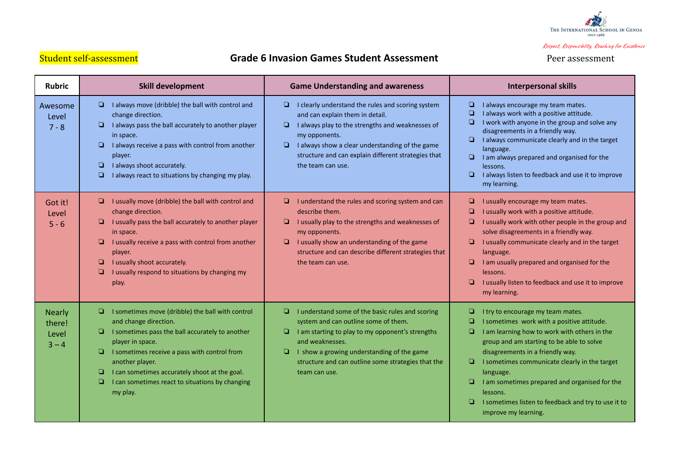

# Student self-assessment **Grade 6 Invasion Games Student Assessment** Peer assessment

| <b>Rubric</b>                               | <b>Skill development</b>                                                                                                                                                                                                                                                                                                                                               | <b>Game Understanding and awareness</b>                                                                                                                                                                                                                                                                      | <b>Interpersonal skills</b>                                                                                                                                                                                                                                                                                                                                                                                                                          |
|---------------------------------------------|------------------------------------------------------------------------------------------------------------------------------------------------------------------------------------------------------------------------------------------------------------------------------------------------------------------------------------------------------------------------|--------------------------------------------------------------------------------------------------------------------------------------------------------------------------------------------------------------------------------------------------------------------------------------------------------------|------------------------------------------------------------------------------------------------------------------------------------------------------------------------------------------------------------------------------------------------------------------------------------------------------------------------------------------------------------------------------------------------------------------------------------------------------|
| Awesome<br>Level<br>$7 - 8$                 | I always move (dribble) the ball with control and<br>u.<br>change direction.<br>I always pass the ball accurately to another player<br>in space.<br>I always receive a pass with control from another<br>player.<br>I always shoot accurately.<br>$\Box$<br>I always react to situations by changing my play.<br>▫                                                     | I clearly understand the rules and scoring system<br>⊔<br>and can explain them in detail.<br>I always play to the strengths and weaknesses of<br>❏<br>my opponents.<br>$\Box$<br>I always show a clear understanding of the game<br>structure and can explain different strategies that<br>the team can use. | o.<br>I always encourage my team mates.<br>I always work with a positive attitude.<br>O.<br>I work with anyone in the group and solve any<br>disagreements in a friendly way.<br>I always communicate clearly and in the target<br>$\Box$<br>language.<br>I am always prepared and organised for the<br>lessons.<br>$\Box$<br>I always listen to feedback and use it to improve<br>my learning.                                                      |
| Got it!<br>Level<br>$5 - 6$                 | I usually move (dribble) the ball with control and<br>ч<br>change direction.<br>I usually pass the ball accurately to another player<br>▫<br>in space.<br>I usually receive a pass with control from another<br>o<br>player.<br>I usually shoot accurately.<br>o<br>I usually respond to situations by changing my<br>O<br>play.                                       | I understand the rules and scoring system and can<br>u.<br>describe them.<br>o<br>I usually play to the strengths and weaknesses of<br>my opponents.<br>I usually show an understanding of the game<br>o<br>structure and can describe different strategies that<br>the team can use.                        | I usually encourage my team mates.<br>ч<br>I usually work with a positive attitude.<br>I usually work with other people in the group and<br>o<br>solve disagreements in a friendly way.<br>I usually communicate clearly and in the target<br>o<br>language.<br>I am usually prepared and organised for the<br>lessons.<br>I usually listen to feedback and use it to improve<br>❏<br>my learning.                                                   |
| <b>Nearly</b><br>there!<br>Level<br>$3 - 4$ | I sometimes move (dribble) the ball with control<br>and change direction.<br>$\Box$<br>I sometimes pass the ball accurately to another<br>player in space.<br>I sometimes receive a pass with control from<br>$\Box$<br>another player.<br>I can sometimes accurately shoot at the goal.<br>o<br>$\Box$<br>I can sometimes react to situations by changing<br>my play. | I understand some of the basic rules and scoring<br>❏.<br>system and can outline some of them.<br>I am starting to play to my opponent's strengths<br>o<br>and weaknesses.<br>I show a growing understanding of the game<br>❏<br>structure and can outline some strategies that the<br>team can use.         | I try to encourage my team mates.<br>▫<br>o<br>I sometimes work with a positive attitude.<br>▫<br>I am learning how to work with others in the<br>group and am starting to be able to solve<br>disagreements in a friendly way.<br>I sometimes communicate clearly in the target<br>▫<br>language.<br>I am sometimes prepared and organised for the<br>lessons.<br>I sometimes listen to feedback and try to use it to<br>o.<br>improve my learning. |